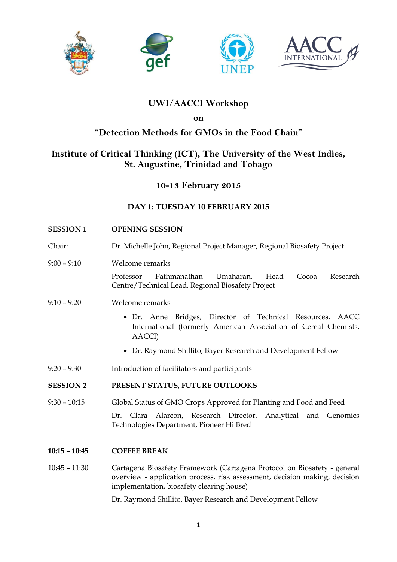







## **UWI/AACCI Workshop**

**on**

## **"Detection Methods for GMOs in the Food Chain"**

# **Institute of Critical Thinking (ICT), The University of the West Indies, St. Augustine, Trinidad and Tobago**

**10-13 February 2015**

## **DAY 1: TUESDAY 10 FEBRUARY 2015**

| <b>SESSION1</b>  | <b>OPENING SESSION</b>                                                                                                                                                                              |
|------------------|-----------------------------------------------------------------------------------------------------------------------------------------------------------------------------------------------------|
| Chair:           | Dr. Michelle John, Regional Project Manager, Regional Biosafety Project                                                                                                                             |
| $9:00 - 9:10$    | Welcome remarks<br>Professor<br>Pathmanathan<br>Umaharan,<br>Head<br>Cocoa<br>Research                                                                                                              |
|                  | Centre/Technical Lead, Regional Biosafety Project                                                                                                                                                   |
| $9:10 - 9:20$    | Welcome remarks                                                                                                                                                                                     |
|                  | • Dr. Anne Bridges, Director of Technical Resources, AACC<br>International (formerly American Association of Cereal Chemists,<br>AACCI)                                                             |
|                  | • Dr. Raymond Shillito, Bayer Research and Development Fellow                                                                                                                                       |
| $9:20 - 9:30$    | Introduction of facilitators and participants                                                                                                                                                       |
| <b>SESSION 2</b> | PRESENT STATUS, FUTURE OUTLOOKS                                                                                                                                                                     |
| $9:30 - 10:15$   | Global Status of GMO Crops Approved for Planting and Food and Feed                                                                                                                                  |
|                  | Dr. Clara<br>Alarcon, Research Director,<br>Analytical and Genomics<br>Technologies Department, Pioneer Hi Bred                                                                                     |
| $10:15 - 10:45$  | <b>COFFEE BREAK</b>                                                                                                                                                                                 |
| $10:45 - 11:30$  | Cartagena Biosafety Framework (Cartagena Protocol on Biosafety - general<br>overview - application process, risk assessment, decision making, decision<br>implementation, biosafety clearing house) |
|                  | Dr. Raymond Shillito, Bayer Research and Development Fellow                                                                                                                                         |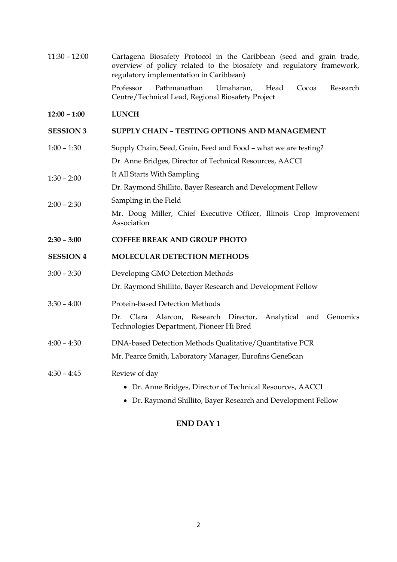11:30 – 12:00 Cartagena Biosafety Protocol in the Caribbean (seed and grain trade, overview of policy related to the biosafety and regulatory framework, regulatory implementation in Caribbean)

> Professor Pathmanathan Umaharan, Head Cocoa Research Centre/Technical Lead, Regional Biosafety Project

#### **12:00 – 1:00 LUNCH**

#### **SESSION 3 SUPPLY CHAIN – TESTING OPTIONS AND MANAGEMENT**

- 1:00 1:30 Supply Chain, Seed, Grain, Feed and Food what we are testing? Dr. Anne Bridges, Director of Technical Resources, AACCI
- 1:30 2:00 It All Starts With Sampling

Dr. Raymond Shillito, Bayer Research and Development Fellow

2:00 – 2:30 Sampling in the Field Mr. Doug Miller, Chief Executive Officer, Illinois Crop Improvement Association

#### **2:30 – 3:00 COFFEE BREAK AND GROUP PHOTO**

#### **SESSION 4 MOLECULAR DETECTION METHODS**

- 3:00 3:30 Developing GMO Detection Methods Dr. Raymond Shillito, Bayer Research and Development Fellow
- 3:30 4:00 Protein-based Detection Methods

Dr. Clara Alarcon, Research Director, Analytical and Genomics Technologies Department, Pioneer Hi Bred

- 4:00 4:30 DNA-based Detection Methods Qualitative/Quantitative PCR Mr. Pearce Smith, Laboratory Manager, Eurofins GeneScan
- 4:30 4:45 Review of day
	- Dr. Anne Bridges, Director of Technical Resources, AACCI
	- Dr. Raymond Shillito, Bayer Research and Development Fellow

### **END DAY 1**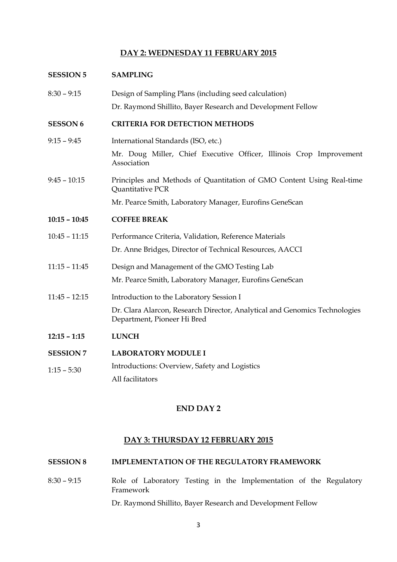## **DAY 2: WEDNESDAY 11 FEBRUARY 2015**

| <b>SESSION 5</b> | <b>SAMPLING</b>                                                                                           |
|------------------|-----------------------------------------------------------------------------------------------------------|
| $8:30 - 9:15$    | Design of Sampling Plans (including seed calculation)                                                     |
|                  | Dr. Raymond Shillito, Bayer Research and Development Fellow                                               |
| <b>SESSON 6</b>  | <b>CRITERIA FOR DETECTION METHODS</b>                                                                     |
| $9:15 - 9:45$    | International Standards (ISO, etc.)                                                                       |
|                  | Mr. Doug Miller, Chief Executive Officer, Illinois Crop Improvement<br>Association                        |
| $9:45 - 10:15$   | Principles and Methods of Quantitation of GMO Content Using Real-time<br><b>Quantitative PCR</b>          |
|                  | Mr. Pearce Smith, Laboratory Manager, Eurofins GeneScan                                                   |
| $10:15 - 10:45$  | <b>COFFEE BREAK</b>                                                                                       |
| $10:45 - 11:15$  | Performance Criteria, Validation, Reference Materials                                                     |
|                  | Dr. Anne Bridges, Director of Technical Resources, AACCI                                                  |
| $11:15 - 11:45$  | Design and Management of the GMO Testing Lab                                                              |
|                  | Mr. Pearce Smith, Laboratory Manager, Eurofins GeneScan                                                   |
| $11:45 - 12:15$  | Introduction to the Laboratory Session I                                                                  |
|                  | Dr. Clara Alarcon, Research Director, Analytical and Genomics Technologies<br>Department, Pioneer Hi Bred |
| $12:15 - 1:15$   | <b>LUNCH</b>                                                                                              |
| <b>SESSION 7</b> | <b>LABORATORY MODULE I</b>                                                                                |
| $1:15 - 5:30$    | Introductions: Overview, Safety and Logistics                                                             |
|                  | All facilitators                                                                                          |

## **END DAY 2**

### **DAY 3: THURSDAY 12 FEBRUARY 2015**

### **SESSION 8 IMPLEMENTATION OF THE REGULATORY FRAMEWORK**

8:30 – 9:15 Role of Laboratory Testing in the Implementation of the Regulatory Framework Dr. Raymond Shillito, Bayer Research and Development Fellow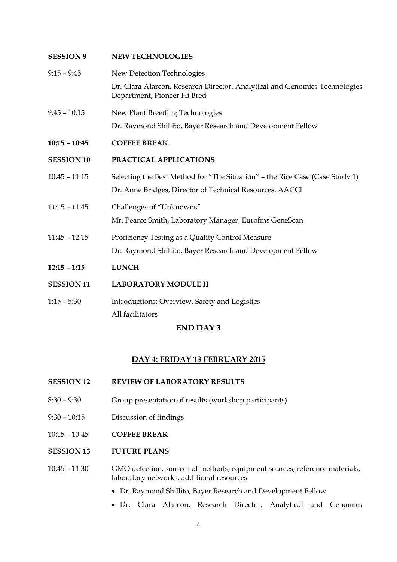| <b>SESSION 9</b>  | <b>NEW TECHNOLOGIES</b>                                                                                   |
|-------------------|-----------------------------------------------------------------------------------------------------------|
| $9:15 - 9:45$     | New Detection Technologies                                                                                |
|                   | Dr. Clara Alarcon, Research Director, Analytical and Genomics Technologies<br>Department, Pioneer Hi Bred |
| $9:45 - 10:15$    | New Plant Breeding Technologies                                                                           |
|                   | Dr. Raymond Shillito, Bayer Research and Development Fellow                                               |
| $10:15 - 10:45$   | <b>COFFEE BREAK</b>                                                                                       |
| <b>SESSION 10</b> | PRACTICAL APPLICATIONS                                                                                    |
| $10:45 - 11:15$   | Selecting the Best Method for "The Situation" - the Rice Case (Case Study 1)                              |
|                   | Dr. Anne Bridges, Director of Technical Resources, AACCI                                                  |
| $11:15 - 11:45$   | Challenges of "Unknowns"                                                                                  |
|                   | Mr. Pearce Smith, Laboratory Manager, Eurofins GeneScan                                                   |
| $11:45 - 12:15$   | Proficiency Testing as a Quality Control Measure                                                          |
|                   | Dr. Raymond Shillito, Bayer Research and Development Fellow                                               |
| $12:15 - 1:15$    | <b>LUNCH</b>                                                                                              |
| <b>SESSION 11</b> | <b>LABORATORY MODULE II</b>                                                                               |
| $1:15 - 5:30$     | Introductions: Overview, Safety and Logistics                                                             |
|                   | All facilitators                                                                                          |

### **END DAY 3**

### **DAY 4: FRIDAY 13 FEBRUARY 2015**

### **SESSION 12 REVIEW OF LABORATORY RESULTS**

- 8:30 9:30 Group presentation of results (workshop participants)
- 9:30 10:15 Discussion of findings
- 10:15 10:45 **COFFEE BREAK**

### **SESSION 13 FUTURE PLANS**

### 10:45 – 11:30 GMO detection, sources of methods, equipment sources, reference materials, laboratory networks, additional resources

- Dr. Raymond Shillito, Bayer Research and Development Fellow
- Dr. Clara Alarcon, Research Director, Analytical and Genomics